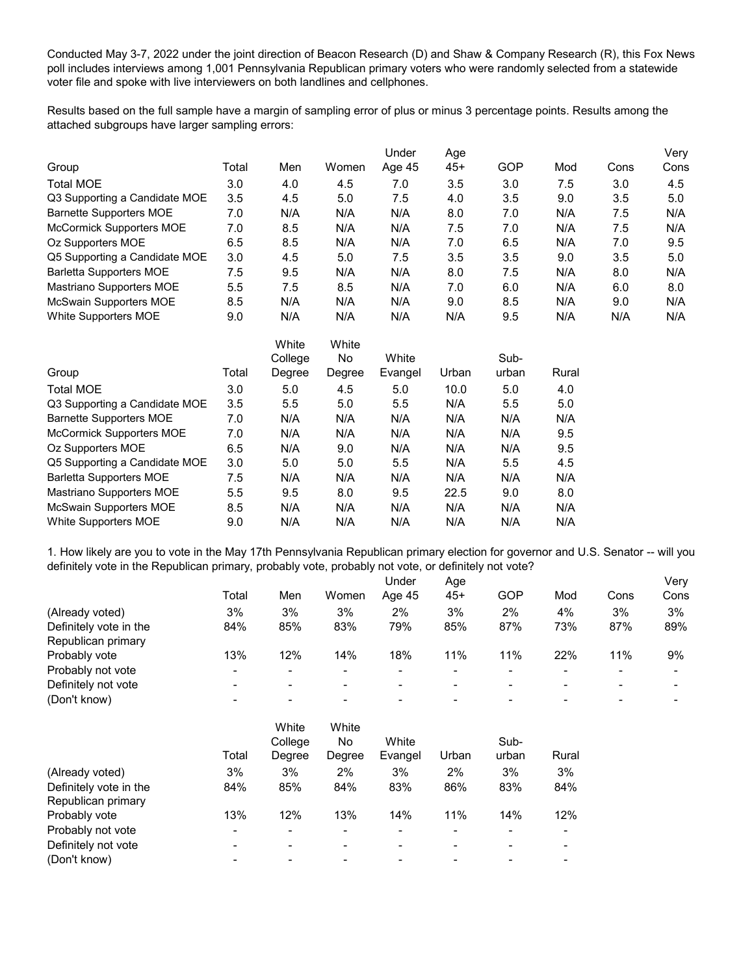Conducted May 3-7, 2022 under the joint direction of Beacon Research (D) and Shaw & Company Research (R), this Fox News poll includes interviews among 1,001 Pennsylvania Republican primary voters who were randomly selected from a statewide voter file and spoke with live interviewers on both landlines and cellphones.

Results based on the full sample have a margin of sampling error of plus or minus 3 percentage points. Results among the attached subgroups have larger sampling errors:

|                                 |       |         |        | Under   | Age   |       |       |      | Very |
|---------------------------------|-------|---------|--------|---------|-------|-------|-------|------|------|
| Group                           | Total | Men     | Women  | Age 45  | $45+$ | GOP   | Mod   | Cons | Cons |
| <b>Total MOE</b>                | 3.0   | 4.0     | 4.5    | 7.0     | 3.5   | 3.0   | 7.5   | 3.0  | 4.5  |
| Q3 Supporting a Candidate MOE   | 3.5   | 4.5     | 5.0    | 7.5     | 4.0   | 3.5   | 9.0   | 3.5  | 5.0  |
| <b>Barnette Supporters MOE</b>  | 7.0   | N/A     | N/A    | N/A     | 8.0   | 7.0   | N/A   | 7.5  | N/A  |
| <b>McCormick Supporters MOE</b> | 7.0   | 8.5     | N/A    | N/A     | 7.5   | 7.0   | N/A   | 7.5  | N/A  |
| Oz Supporters MOE               | 6.5   | 8.5     | N/A    | N/A     | 7.0   | 6.5   | N/A   | 7.0  | 9.5  |
| Q5 Supporting a Candidate MOE   | 3.0   | 4.5     | 5.0    | 7.5     | 3.5   | 3.5   | 9.0   | 3.5  | 5.0  |
| <b>Barletta Supporters MOE</b>  | 7.5   | 9.5     | N/A    | N/A     | 8.0   | 7.5   | N/A   | 8.0  | N/A  |
| Mastriano Supporters MOE        | 5.5   | 7.5     | 8.5    | N/A     | 7.0   | 6.0   | N/A   | 6.0  | 8.0  |
| McSwain Supporters MOE          | 8.5   | N/A     | N/A    | N/A     | 9.0   | 8.5   | N/A   | 9.0  | N/A  |
| White Supporters MOE            | 9.0   | N/A     | N/A    | N/A     | N/A   | 9.5   | N/A   | N/A  | N/A  |
|                                 |       | White   | White  |         |       |       |       |      |      |
|                                 |       | College | No     | White   |       | Sub-  |       |      |      |
| Group                           | Total | Degree  | Degree | Evangel | Urban | urban | Rural |      |      |
| <b>Total MOE</b>                | 3.0   | 5.0     | 4.5    | 5.0     | 10.0  | 5.0   | 4.0   |      |      |
| Q3 Supporting a Candidate MOE   | 3.5   | 5.5     | 5.0    | 5.5     | N/A   | 5.5   | 5.0   |      |      |
| <b>Barnette Supporters MOE</b>  | 7.0   | N/A     | N/A    | N/A     | N/A   | N/A   | N/A   |      |      |
| <b>McCormick Supporters MOE</b> | 7.0   | N/A     | N/A    | N/A     | N/A   | N/A   | 9.5   |      |      |
| Oz Supporters MOE               | 6.5   | N/A     | 9.0    | N/A     | N/A   | N/A   | 9.5   |      |      |
| Q5 Supporting a Candidate MOE   | 3.0   | 5.0     | 5.0    | 5.5     | N/A   | 5.5   | 4.5   |      |      |
| <b>Barletta Supporters MOE</b>  | 7.5   | N/A     | N/A    | N/A     | N/A   | N/A   | N/A   |      |      |
| Mastriano Supporters MOE        | 5.5   | 9.5     | 8.0    | 9.5     | 22.5  | 9.0   | 8.0   |      |      |
| McSwain Supporters MOE          | 8.5   | N/A     | N/A    | N/A     | N/A   | N/A   | N/A   |      |      |
| White Supporters MOE            | 9.0   | N/A     | N/A    | N/A     | N/A   | N/A   | N/A   |      |      |

1. How likely are you to vote in the May 17th Pennsylvania Republican primary election for governor and U.S. Senator -- will you definitely vote in the Republican primary, probably vote, probably not vote, or definitely not vote?

|                        |       |     |       | Under  | Age |     |     |      | Very |
|------------------------|-------|-----|-------|--------|-----|-----|-----|------|------|
|                        | Total | Men | Women | Age 45 | 45+ | GOP | Mod | Cons | Cons |
| (Already voted)        | 3%    | 3%  | 3%    | 2%     | 3%  | 2%  | 4%  | 3%   | 3%   |
| Definitely vote in the | 84%   | 85% | 83%   | 79%    | 85% | 87% | 73% | 87%  | 89%  |
| Republican primary     |       |     |       |        |     |     |     |      |      |
| Probably vote          | 13%   | 12% | 14%   | 18%    | 11% | 11% | 22% | 11%  | 9%   |
| Probably not vote      |       |     | -     |        |     |     |     |      |      |
| Definitely not vote    |       | -   | $\,$  | -      | -   |     | -   | $\,$ |      |
| (Don't know)           |       | -   | -     |        |     |     |     | -    |      |

|                                                 | White   | White  |         |       |       |       |
|-------------------------------------------------|---------|--------|---------|-------|-------|-------|
|                                                 | College | No     | White   |       | Sub-  |       |
| Total                                           | Degree  | Degree | Evangel | Urban | urban | Rural |
| 3%<br>(Already voted)                           | 3%      | 2%     | 3%      | 2%    | 3%    | 3%    |
| 84%<br>Definitely vote in the                   | 85%     | 84%    | 83%     | 86%   | 83%   | 84%   |
| Republican primary                              |         |        |         |       |       |       |
| 13%<br>Probably vote                            | 12%     | 13%    | 14%     | 11%   | 14%   | 12%   |
| Probably not vote                               | -       |        | -       |       |       | -     |
| Definitely not vote<br>$\overline{\phantom{0}}$ |         |        | -       |       |       | -     |
| (Don't know)<br>-                               |         |        |         |       |       |       |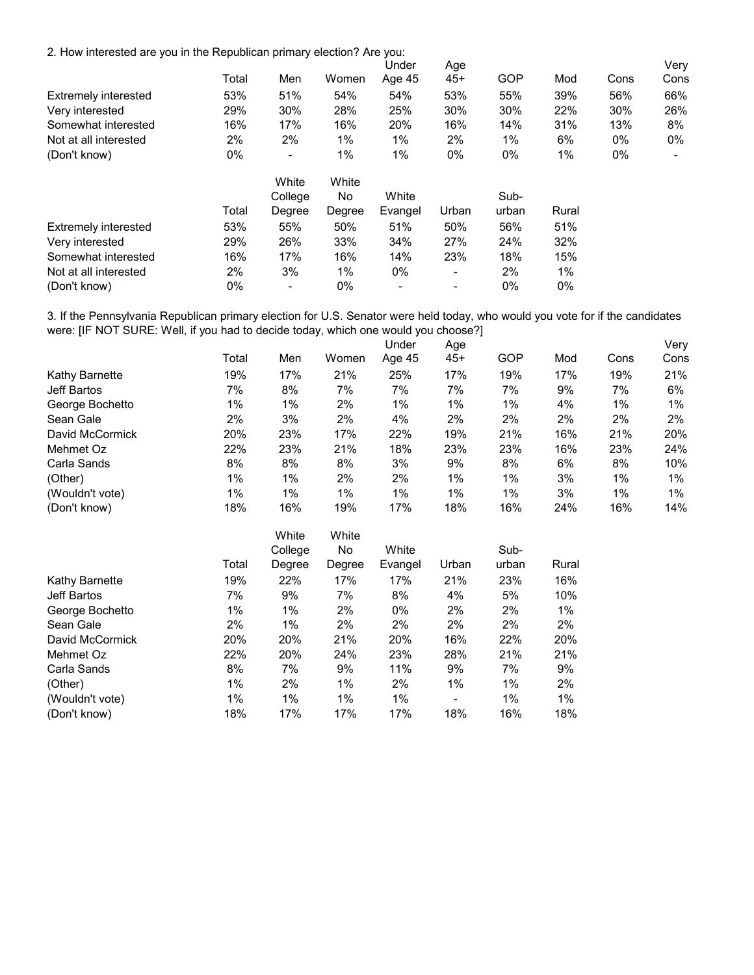2. How interested are you in the Republican primary election? Are you:

|                             |       |                          |        | Under   | Age   |       |       |      | Very |
|-----------------------------|-------|--------------------------|--------|---------|-------|-------|-------|------|------|
|                             | Total | Men                      | Women  | Age 45  | $45+$ | GOP   | Mod   | Cons | Cons |
| <b>Extremely interested</b> | 53%   | 51%                      | 54%    | 54%     | 53%   | 55%   | 39%   | 56%  | 66%  |
| Very interested             | 29%   | 30%                      | 28%    | 25%     | 30%   | 30%   | 22%   | 30%  | 26%  |
| Somewhat interested         | 16%   | 17%                      | 16%    | 20%     | 16%   | 14%   | 31%   | 13%  | 8%   |
| Not at all interested       | 2%    | 2%                       | 1%     | 1%      | 2%    | 1%    | 6%    | 0%   | 0%   |
| (Don't know)                | $0\%$ | $\overline{\phantom{a}}$ | 1%     | 1%      | $0\%$ | $0\%$ | 1%    | 0%   |      |
|                             |       | White                    | White  |         |       |       |       |      |      |
|                             |       | College                  | No.    | White   |       | Sub-  |       |      |      |
|                             | Total | Degree                   | Degree | Evangel | Urban | urban | Rural |      |      |
| <b>Extremely interested</b> | 53%   | 55%                      | 50%    | 51%     | 50%   | 56%   | 51%   |      |      |
| Very interested             | 29%   | 26%                      | 33%    | 34%     | 27%   | 24%   | 32%   |      |      |
| Somewhat interested         | 16%   | 17%                      | 16%    | 14%     | 23%   | 18%   | 15%   |      |      |
| Not at all interested       | 2%    | 3%                       | 1%     | 0%      | -     | 2%    | $1\%$ |      |      |
| (Don't know)                | $0\%$ | $\overline{\phantom{a}}$ | $0\%$  | -       | ۰     | $0\%$ | $0\%$ |      |      |

3. If the Pennsylvania Republican primary election for U.S. Senator were held today, who would you vote for if the candidates were: [IF NOT SURE: Well, if you had to decide today, which one would you choose?]

|                 |       |       |       | Under  | Age   |     |     |       | Very  |
|-----------------|-------|-------|-------|--------|-------|-----|-----|-------|-------|
|                 | Total | Men   | Women | Age 45 | $45+$ | GOP | Mod | Cons  | Cons  |
| Kathy Barnette  | 19%   | 17%   | 21%   | 25%    | 17%   | 19% | 17% | 19%   | 21%   |
| Jeff Bartos     | 7%    | 8%    | 7%    | 7%     | 7%    | 7%  | 9%  | 7%    | 6%    |
| George Bochetto | 1%    | 1%    | 2%    | $1\%$  | 1%    | 1%  | 4%  | $1\%$ | $1\%$ |
| Sean Gale       | 2%    | 3%    | 2%    | 4%     | 2%    | 2%  | 2%  | 2%    | 2%    |
| David McCormick | 20%   | 23%   | 17%   | 22%    | 19%   | 21% | 16% | 21%   | 20%   |
| Mehmet Oz       | 22%   | 23%   | 21%   | 18%    | 23%   | 23% | 16% | 23%   | 24%   |
| Carla Sands     | 8%    | 8%    | 8%    | 3%     | 9%    | 8%  | 6%  | 8%    | 10%   |
| (Other)         | 1%    | $1\%$ | 2%    | 2%     | 1%    | 1%  | 3%  | 1%    | 1%    |
| (Wouldn't vote) | 1%    | $1\%$ | 1%    | $1\%$  | 1%    | 1%  | 3%  | 1%    | 1%    |
| (Don't know)    | 18%   | 16%   | 19%   | 17%    | 18%   | 16% | 24% | 16%   | 14%   |

|                 |       | White   | White  |         |                          |       |       |
|-----------------|-------|---------|--------|---------|--------------------------|-------|-------|
|                 |       | College | No.    | White   |                          | Sub-  |       |
|                 | Total | Degree  | Degree | Evangel | Urban                    | urban | Rural |
| Kathy Barnette  | 19%   | 22%     | 17%    | 17%     | 21%                      | 23%   | 16%   |
| Jeff Bartos     | 7%    | 9%      | 7%     | 8%      | 4%                       | 5%    | 10%   |
| George Bochetto | 1%    | 1%      | 2%     | $0\%$   | 2%                       | 2%    | 1%    |
| Sean Gale       | 2%    | $1\%$   | 2%     | 2%      | 2%                       | 2%    | 2%    |
| David McCormick | 20%   | 20%     | 21%    | 20%     | 16%                      | 22%   | 20%   |
| Mehmet Oz       | 22%   | 20%     | 24%    | 23%     | 28%                      | 21%   | 21%   |
| Carla Sands     | 8%    | 7%      | 9%     | 11%     | 9%                       | 7%    | 9%    |
| (Other)         | $1\%$ | 2%      | $1\%$  | 2%      | $1\%$                    | $1\%$ | 2%    |
| (Wouldn't vote) | $1\%$ | $1\%$   | $1\%$  | $1\%$   | $\overline{\phantom{a}}$ | $1\%$ | $1\%$ |
| (Don't know)    | 18%   | 17%     | 17%    | 17%     | 18%                      | 16%   | 18%   |
|                 |       |         |        |         |                          |       |       |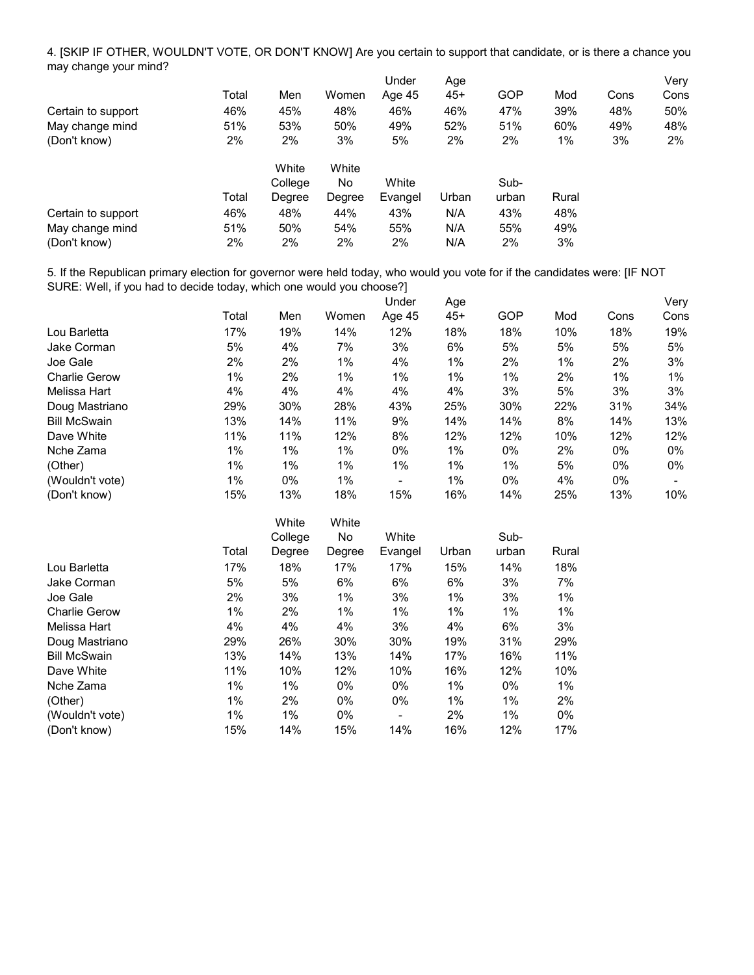4. [SKIP IF OTHER, WOULDN'T VOTE, OR DON'T KNOW] Are you certain to support that candidate, or is there a chance you may change your mind?

|                    |       |         |        | Under   | Age   |       |       |      | Very  |
|--------------------|-------|---------|--------|---------|-------|-------|-------|------|-------|
|                    | Total | Men     | Women  | Age 45  | $45+$ | GOP   | Mod   | Cons | Cons  |
| Certain to support | 46%   | 45%     | 48%    | 46%     | 46%   | 47%   | 39%   | 48%  | 50%   |
| May change mind    | 51%   | 53%     | 50%    | 49%     | 52%   | 51%   | 60%   | 49%  | 48%   |
| (Don't know)       | 2%    | 2%      | 3%     | 5%      | 2%    | 2%    | 1%    | 3%   | $2\%$ |
|                    |       | White   | White  |         |       |       |       |      |       |
|                    |       | College | No.    | White   |       | Sub-  |       |      |       |
|                    | Total | Degree  | Degree | Evangel | Urban | urban | Rural |      |       |
| Certain to support | 46%   | 48%     | 44%    | 43%     | N/A   | 43%   | 48%   |      |       |
| May change mind    | 51%   | 50%     | 54%    | 55%     | N/A   | 55%   | 49%   |      |       |
| (Don't know)       | 2%    | 2%      | 2%     | 2%      | N/A   | 2%    | 3%    |      |       |

5. If the Republican primary election for governor were held today, who would you vote for if the candidates were: [IF NOT SURE: Well, if you had to decide today, which one would you choose?]

|                      |       |     |       | Under                    | Age   |       |     |       | Very |
|----------------------|-------|-----|-------|--------------------------|-------|-------|-----|-------|------|
|                      | Total | Men | Women | Age 45                   | $45+$ | GOP   | Mod | Cons  | Cons |
| Lou Barletta         | 17%   | 19% | 14%   | 12%                      | 18%   | 18%   | 10% | 18%   | 19%  |
| Jake Corman          | 5%    | 4%  | 7%    | 3%                       | 6%    | 5%    | 5%  | 5%    | 5%   |
| Joe Gale             | 2%    | 2%  | 1%    | 4%                       | 1%    | 2%    | 1%  | 2%    | 3%   |
| <b>Charlie Gerow</b> | 1%    | 2%  | 1%    | 1%                       | $1\%$ | 1%    | 2%  | 1%    | 1%   |
| Melissa Hart         | 4%    | 4%  | 4%    | 4%                       | 4%    | 3%    | 5%  | 3%    | 3%   |
| Doug Mastriano       | 29%   | 30% | 28%   | 43%                      | 25%   | 30%   | 22% | 31%   | 34%  |
| <b>Bill McSwain</b>  | 13%   | 14% | 11%   | 9%                       | 14%   | 14%   | 8%  | 14%   | 13%  |
| Dave White           | 11%   | 11% | 12%   | 8%                       | 12%   | 12%   | 10% | 12%   | 12%  |
| Nche Zama            | 1%    | 1%  | 1%    | $0\%$                    | 1%    | $0\%$ | 2%  | $0\%$ | 0%   |
| (Other)              | 1%    | 1%  | $1\%$ | 1%                       | $1\%$ | 1%    | 5%  | $0\%$ | 0%   |
| (Wouldn't vote)      | 1%    | 0%  | 1%    | $\overline{\phantom{0}}$ | 1%    | $0\%$ | 4%  | $0\%$ |      |
| (Don't know)         | 15%   | 13% | 18%   | 15%                      | 16%   | 14%   | 25% | 13%   | 10%  |

| White   | White  |         |       |       |       |
|---------|--------|---------|-------|-------|-------|
| College | No     | White   |       | Sub-  |       |
| Degree  | Degree | Evangel | Urban | urban | Rural |
| 18%     | 17%    | 17%     | 15%   | 14%   | 18%   |
| 5%      | 6%     | 6%      | 6%    | 3%    | 7%    |
| 3%      | 1%     | 3%      | 1%    | 3%    | 1%    |
| 2%      | 1%     | $1\%$   | 1%    | 1%    | 1%    |
| 4%      | 4%     | 3%      | 4%    | 6%    | 3%    |
| 26%     | 30%    | 30%     | 19%   | 31%   | 29%   |
| 14%     | 13%    | 14%     | 17%   | 16%   | 11%   |
| 10%     | 12%    | 10%     | 16%   | 12%   | 10%   |
| 1%      | $0\%$  | $0\%$   | 1%    | $0\%$ | 1%    |
| 2%      | $0\%$  | $0\%$   | 1%    | 1%    | 2%    |
| 1%      | $0\%$  | -       | 2%    | 1%    | $0\%$ |
| 14%     | 15%    | 14%     | 16%   | 12%   | 17%   |
|         |        |         |       |       |       |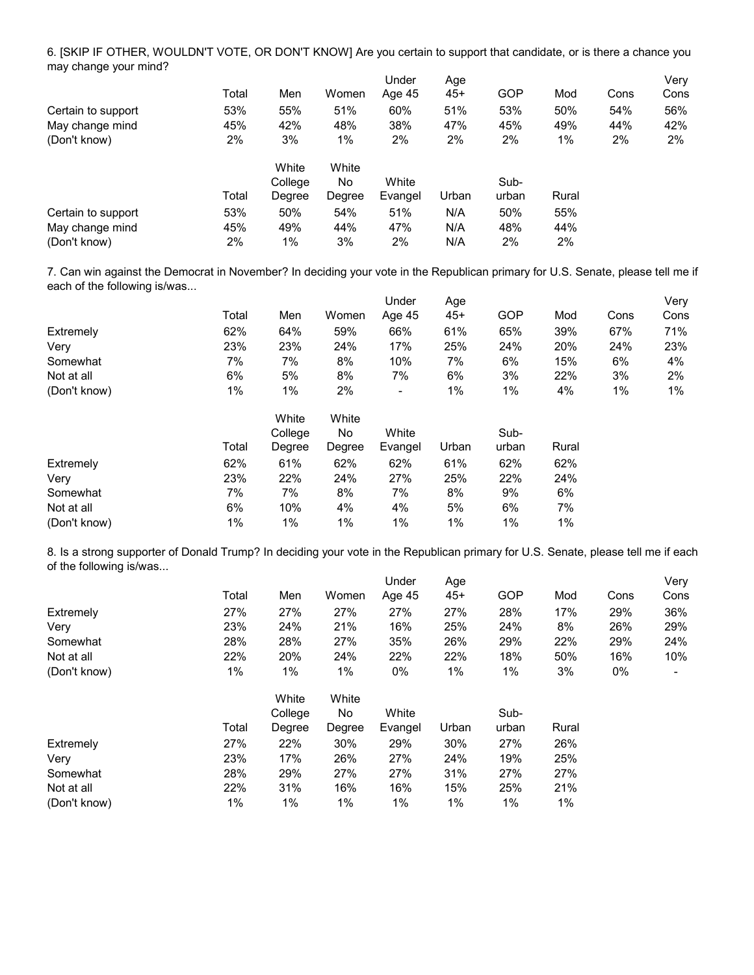6. [SKIP IF OTHER, WOULDN'T VOTE, OR DON'T KNOW] Are you certain to support that candidate, or is there a chance you may change your mind?

|                    | Total | Men     | Women  | Under<br>Age 45 | Age<br>$45+$ | GOP   | Mod   | Cons | Very<br>Cons |
|--------------------|-------|---------|--------|-----------------|--------------|-------|-------|------|--------------|
| Certain to support | 53%   | 55%     | 51%    | 60%             | 51%          | 53%   | 50%   | 54%  | 56%          |
| May change mind    | 45%   | 42%     | 48%    | 38%             | 47%          | 45%   | 49%   | 44%  | 42%          |
| (Don't know)       | 2%    | 3%      | 1%     | 2%              | 2%           | 2%    | 1%    | 2%   | 2%           |
|                    |       | White   | White  |                 |              |       |       |      |              |
|                    |       | College | No.    | White           |              | Sub-  |       |      |              |
|                    | Total | Degree  | Degree | Evangel         | Urban        | urban | Rural |      |              |
| Certain to support | 53%   | 50%     | 54%    | 51%             | N/A          | 50%   | 55%   |      |              |
| May change mind    | 45%   | 49%     | 44%    | 47%             | N/A          | 48%   | 44%   |      |              |
| (Don't know)       | 2%    | 1%      | 3%     | 2%              | N/A          | 2%    | 2%    |      |              |

Under  $\sqrt{2}$ 7. Can win against the Democrat in November? In deciding your vote in the Republican primary for U.S. Senate, please tell me if each of the following is/was...

|              |       |     |       | Jnder  | Age |     |     |      | Verv |
|--------------|-------|-----|-------|--------|-----|-----|-----|------|------|
|              | Total | Men | Women | Age 45 | 45+ | GOP | Mod | Cons | Cons |
| Extremely    | 62%   | 64% | 59%   | 66%    | 61% | 65% | 39% | 67%  | 71%  |
| Verv         | 23%   | 23% | 24%   | 17%    | 25% | 24% | 20% | 24%  | 23%  |
| Somewhat     | 7%    | 7%  | 8%    | 10%    | 7%  | 6%  | 15% | 6%   | 4%   |
| Not at all   | 6%    | 5%  | 8%    | 7%     | 6%  | 3%  | 22% | 3%   | 2%   |
| (Don't know) | $1\%$ | 1%  | 2%    | ٠      | 1%  | 1%  | 4%  | 1%   | 1%   |

|              | Total | White<br>College<br>Degree | White<br>No<br>Degree | White<br>Evangel | Urban | Sub-<br>urban | Rural |
|--------------|-------|----------------------------|-----------------------|------------------|-------|---------------|-------|
| Extremely    | 62%   | 61%                        | 62%                   | 62%              | 61%   | 62%           | 62%   |
| Very         | 23%   | 22%                        | 24%                   | 27%              | 25%   | 22%           | 24%   |
| Somewhat     | 7%    | 7%                         | 8%                    | 7%               | 8%    | 9%            | 6%    |
| Not at all   | 6%    | 10%                        | 4%                    | 4%               | 5%    | 6%            | 7%    |
| (Don't know) | 1%    | 1%                         | 1%                    | 1%               | $1\%$ | $1\%$         | $1\%$ |

8. Is a strong supporter of Donald Trump? In deciding your vote in the Republican primary for U.S. Senate, please tell me if each of the following is/was...

|              |       |         |        | Under   | Age   |       |       |      | Very |
|--------------|-------|---------|--------|---------|-------|-------|-------|------|------|
|              | Total | Men     | Women  | Age 45  | $45+$ | GOP   | Mod   | Cons | Cons |
| Extremely    | 27%   | 27%     | 27%    | 27%     | 27%   | 28%   | 17%   | 29%  | 36%  |
| Verv         | 23%   | 24%     | 21%    | 16%     | 25%   | 24%   | 8%    | 26%  | 29%  |
| Somewhat     | 28%   | 28%     | 27%    | 35%     | 26%   | 29%   | 22%   | 29%  | 24%  |
| Not at all   | 22%   | 20%     | 24%    | 22%     | 22%   | 18%   | 50%   | 16%  | 10%  |
| (Don't know) | 1%    | 1%      | 1%     | $0\%$   | 1%    | 1%    | 3%    | 0%   |      |
|              |       | White   | White  |         |       |       |       |      |      |
|              |       | College | No     | White   |       | Sub-  |       |      |      |
|              | Total | Degree  | Degree | Evangel | Urban | urban | Rural |      |      |
| Extremely    | 27%   | 22%     | 30%    | 29%     | 30%   | 27%   | 26%   |      |      |
| Very         | 23%   | 17%     | 26%    | 27%     | 24%   | 19%   | 25%   |      |      |
| Somewhat     | 28%   | 29%     | 27%    | 27%     | 31%   | 27%   | 27%   |      |      |
| Not at all   | 22%   | 31%     | 16%    | 16%     | 15%   | 25%   | 21%   |      |      |
| (Don't know) | 1%    | 1%      | 1%     | $1\%$   | 1%    | 1%    | 1%    |      |      |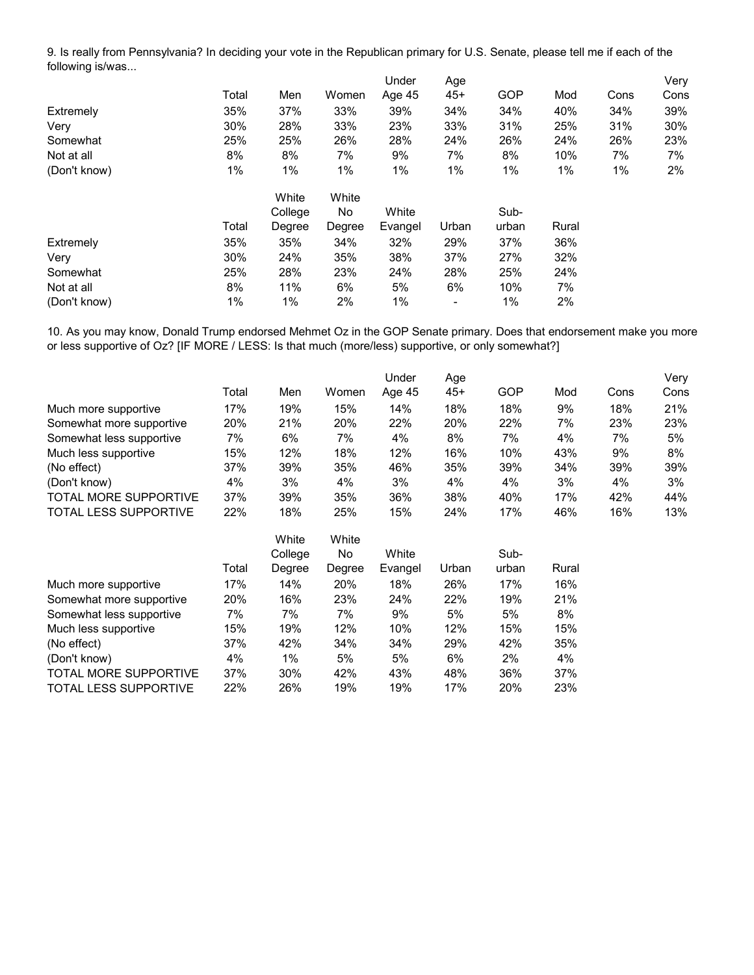9. Is really from Pennsylvania? In deciding your vote in the Republican primary for U.S. Senate, please tell me if each of the following is/was...

|              |       |         |        | Under   | Age   |       |       |      | Very |
|--------------|-------|---------|--------|---------|-------|-------|-------|------|------|
|              | Total | Men     | Women  | Age 45  | $45+$ | GOP   | Mod   | Cons | Cons |
| Extremely    | 35%   | 37%     | 33%    | 39%     | 34%   | 34%   | 40%   | 34%  | 39%  |
| Very         | 30%   | 28%     | 33%    | 23%     | 33%   | 31%   | 25%   | 31%  | 30%  |
| Somewhat     | 25%   | 25%     | 26%    | 28%     | 24%   | 26%   | 24%   | 26%  | 23%  |
| Not at all   | 8%    | 8%      | 7%     | 9%      | 7%    | 8%    | 10%   | 7%   | 7%   |
| (Don't know) | 1%    | 1%      | 1%     | 1%      | 1%    | 1%    | $1\%$ | 1%   | 2%   |
|              |       | White   | White  |         |       |       |       |      |      |
|              |       | College | No.    | White   |       | Sub-  |       |      |      |
|              | Total | Degree  | Degree | Evangel | Urban | urban | Rural |      |      |
| Extremely    | 35%   | 35%     | 34%    | 32%     | 29%   | 37%   | 36%   |      |      |
| Very         | 30%   | 24%     | 35%    | 38%     | 37%   | 27%   | 32%   |      |      |
| Somewhat     | 25%   | 28%     | 23%    | 24%     | 28%   | 25%   | 24%   |      |      |
| Not at all   | 8%    | 11%     | 6%     | 5%      | 6%    | 10%   | 7%    |      |      |
| (Don't know) | $1\%$ | 1%      | 2%     | 1%      | -     | 1%    | 2%    |      |      |

10. As you may know, Donald Trump endorsed Mehmet Oz in the GOP Senate primary. Does that endorsement make you more or less supportive of Oz? [IF MORE / LESS: Is that much (more/less) supportive, or only somewhat?]

|                              |       |         |        | Under   | Age   |       |       |      | Very |
|------------------------------|-------|---------|--------|---------|-------|-------|-------|------|------|
|                              | Total | Men     | Women  | Age 45  | $45+$ | GOP   | Mod   | Cons | Cons |
| Much more supportive         | 17%   | 19%     | 15%    | 14%     | 18%   | 18%   | 9%    | 18%  | 21%  |
| Somewhat more supportive     | 20%   | 21%     | 20%    | 22%     | 20%   | 22%   | 7%    | 23%  | 23%  |
| Somewhat less supportive     | 7%    | 6%      | 7%     | 4%      | 8%    | 7%    | 4%    | 7%   | 5%   |
| Much less supportive         | 15%   | 12%     | 18%    | 12%     | 16%   | 10%   | 43%   | 9%   | 8%   |
| (No effect)                  | 37%   | 39%     | 35%    | 46%     | 35%   | 39%   | 34%   | 39%  | 39%  |
| (Don't know)                 | 4%    | 3%      | 4%     | 3%      | 4%    | 4%    | 3%    | 4%   | 3%   |
| <b>TOTAL MORE SUPPORTIVE</b> | 37%   | 39%     | 35%    | 36%     | 38%   | 40%   | 17%   | 42%  | 44%  |
| <b>TOTAL LESS SUPPORTIVE</b> | 22%   | 18%     | 25%    | 15%     | 24%   | 17%   | 46%   | 16%  | 13%  |
|                              |       | White   | White  |         |       |       |       |      |      |
|                              |       | College | No     | White   |       | Sub-  |       |      |      |
|                              | Total | Degree  | Degree | Evangel | Urban | urban | Rural |      |      |
| Much more supportive         | 17%   | 14%     | 20%    | 18%     | 26%   | 17%   | 16%   |      |      |
| Somewhat more supportive     | 20%   | 16%     | 23%    | 24%     | 22%   | 19%   | 21%   |      |      |
| Somewhat less supportive     | 7%    | 7%      | 7%     | 9%      | 5%    | 5%    | 8%    |      |      |
| Much less supportive         | 15%   | 19%     | 12%    | 10%     | 12%   | 15%   | 15%   |      |      |
| (No effect)                  | 37%   | 42%     | 34%    | 34%     | 29%   | 42%   | 35%   |      |      |
| (Don't know)                 | 4%    | 1%      | 5%     | 5%      | 6%    | 2%    | 4%    |      |      |
| TOTAL MORE SUPPORTIVE        | 37%   | 30%     | 42%    | 43%     | 48%   | 36%   | 37%   |      |      |
| TOTAL LESS SUPPORTIVE        | 22%   | 26%     | 19%    | 19%     | 17%   | 20%   | 23%   |      |      |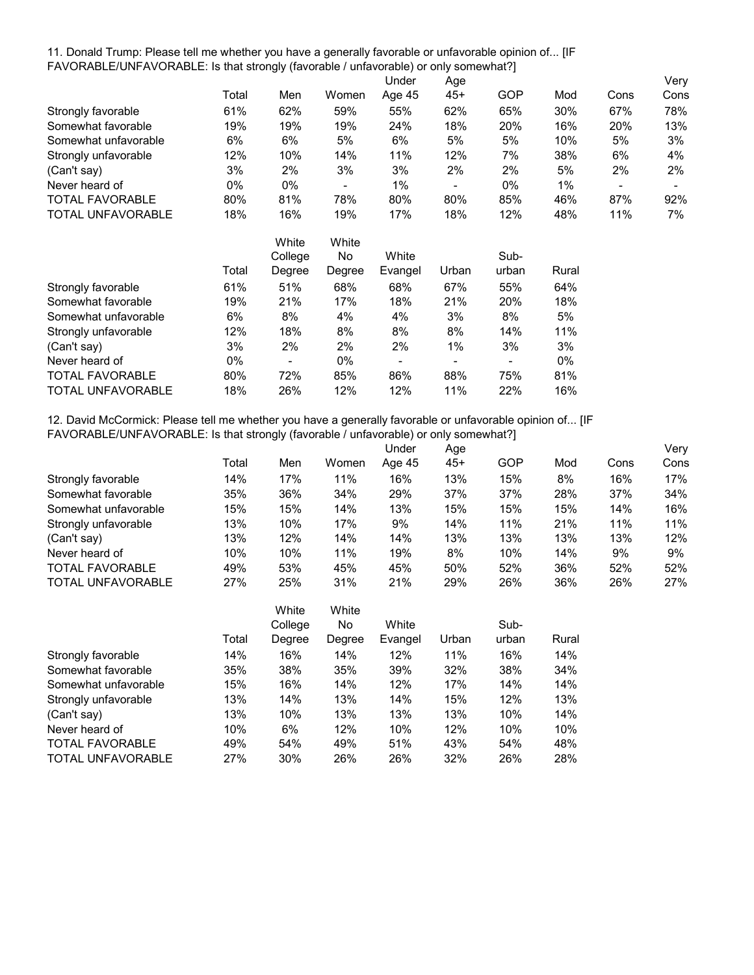11. Donald Trump: Please tell me whether you have a generally favorable or unfavorable opinion of... [IF FAVORABLE/UNFAVORABLE: Is that strongly (favorable / unfavorable) or only somewhat?]

|                        |       |         |        | Under   | Age   |       |       |      | Very |
|------------------------|-------|---------|--------|---------|-------|-------|-------|------|------|
|                        | Total | Men     | Women  | Age 45  | 45+   | GOP   | Mod   | Cons | Cons |
| Strongly favorable     | 61%   | 62%     | 59%    | 55%     | 62%   | 65%   | 30%   | 67%  | 78%  |
| Somewhat favorable     | 19%   | 19%     | 19%    | 24%     | 18%   | 20%   | 16%   | 20%  | 13%  |
| Somewhat unfavorable   | 6%    | 6%      | 5%     | 6%      | 5%    | 5%    | 10%   | 5%   | 3%   |
| Strongly unfavorable   | 12%   | 10%     | 14%    | 11%     | 12%   | 7%    | 38%   | 6%   | 4%   |
| (Can't say)            | 3%    | 2%      | 3%     | 3%      | 2%    | 2%    | 5%    | 2%   | 2%   |
| Never heard of         | $0\%$ | 0%      |        | $1\%$   |       | $0\%$ | 1%    |      |      |
| <b>TOTAL FAVORABLE</b> | 80%   | 81%     | 78%    | 80%     | 80%   | 85%   | 46%   | 87%  | 92%  |
| TOTAL UNFAVORABLE      | 18%   | 16%     | 19%    | 17%     | 18%   | 12%   | 48%   | 11%  | 7%   |
|                        |       | White   | White  |         |       |       |       |      |      |
|                        |       | College | No     | White   |       | Sub-  |       |      |      |
|                        | Total | Degree  | Degree | Evangel | Urban | urban | Rural |      |      |
| Strongly favorable     | 61%   | 51%     | 68%    | 68%     | 67%   | 55%   | 64%   |      |      |
| Somewhat favorable     | 19%   | 21%     | 17%    | 18%     | 21%   | 20%   | 18%   |      |      |
| Somewhat unfavorable   | 6%    | 8%      | 4%     | 4%      | 3%    | 8%    | 5%    |      |      |
| Strongly unfavorable   | 12%   | 18%     | 8%     | 8%      | 8%    | 14%   | 11%   |      |      |
| (Can't say)            | 3%    | 2%      | 2%     | 2%      | 1%    | 3%    | 3%    |      |      |
| Never heard of         | 0%    | -       | 0%     |         | -     |       | 0%    |      |      |

12. David McCormick: Please tell me whether you have a generally favorable or unfavorable opinion of... [IF FAVORABLE/UNFAVORABLE: Is that strongly (favorable / unfavorable) or only somewhat?]

TOTAL FAVORABLE 80% 72% 85% 86% 88% 75% 81% TOTAL UNFAVORABLE 18% 26% 12% 12% 11% 22% 16%

|                          |       |         |       | Under  | Age |      |     |      | Very |
|--------------------------|-------|---------|-------|--------|-----|------|-----|------|------|
|                          | Total | Men     | Women | Age 45 | 45+ | GOP  | Mod | Cons | Cons |
| Strongly favorable       | 14%   | 17%     | 11%   | 16%    | 13% | 15%  | 8%  | 16%  | 17%  |
| Somewhat favorable       | 35%   | 36%     | 34%   | 29%    | 37% | 37%  | 28% | 37%  | 34%  |
| Somewhat unfavorable     | 15%   | 15%     | 14%   | 13%    | 15% | 15%  | 15% | 14%  | 16%  |
| Strongly unfavorable     | 13%   | 10%     | 17%   | 9%     | 14% | 11%  | 21% | 11%  | 11%  |
| (Can't say)              | 13%   | 12%     | 14%   | 14%    | 13% | 13%  | 13% | 13%  | 12%  |
| Never heard of           | 10%   | 10%     | 11%   | 19%    | 8%  | 10%  | 14% | 9%   | 9%   |
| <b>TOTAL FAVORABLE</b>   | 49%   | 53%     | 45%   | 45%    | 50% | 52%  | 36% | 52%  | 52%  |
| <b>TOTAL UNFAVORABLE</b> | 27%   | 25%     | 31%   | 21%    | 29% | 26%  | 36% | 26%  | 27%  |
|                          |       | White   | White |        |     |      |     |      |      |
|                          |       | College | No    | White  |     | Sub- |     |      |      |

|       | College | No     | White   |       | Sub-  |       |
|-------|---------|--------|---------|-------|-------|-------|
| Total | Degree  | Degree | Evangel | Urban | urban | Rural |
| 14%   | 16%     | 14%    | 12%     | 11%   | 16%   | 14%   |
| 35%   | 38%     | 35%    | 39%     | 32%   | 38%   | 34%   |
| 15%   | 16%     | 14%    | 12%     | 17%   | 14%   | 14%   |
| 13%   | 14%     | 13%    | 14%     | 15%   | 12%   | 13%   |
| 13%   | 10%     | 13%    | 13%     | 13%   | 10%   | 14%   |
| 10%   | 6%      | 12%    | 10%     | 12%   | 10%   | 10%   |
| 49%   | 54%     | 49%    | 51%     | 43%   | 54%   | 48%   |
| 27%   | 30%     | 26%    | 26%     | 32%   | 26%   | 28%   |
|       |         |        |         |       |       |       |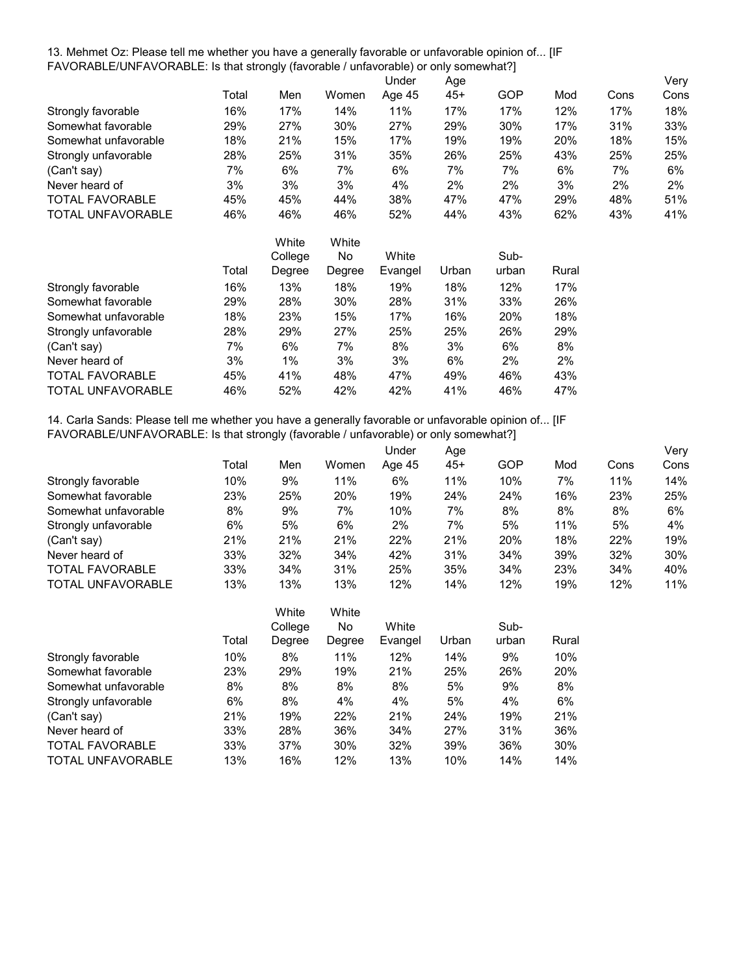13. Mehmet Oz: Please tell me whether you have a generally favorable or unfavorable opinion of... [IF FAVORABLE/UNFAVORABLE: Is that strongly (favorable / unfavorable) or only somewhat?]

|                          |       |                                   |             | Under  | Age   |           |     |      | Very |
|--------------------------|-------|-----------------------------------|-------------|--------|-------|-----------|-----|------|------|
|                          | Total | Men                               | Women       | Age 45 | $45+$ | GOP       | Mod | Cons | Cons |
| Strongly favorable       | 16%   | 17%                               | 14%         | 11%    | 17%   | 17%       | 12% | 17%  | 18%  |
| Somewhat favorable       | 29%   | 27%                               | 30%         | 27%    | 29%   | 30%       | 17% | 31%  | 33%  |
| Somewhat unfavorable     | 18%   | 21%                               | 15%         | 17%    | 19%   | 19%       | 20% | 18%  | 15%  |
| Strongly unfavorable     | 28%   | 25%                               | 31%         | 35%    | 26%   | 25%       | 43% | 25%  | 25%  |
| (Can't say)              | 7%    | 6%                                | 7%          | 6%     | 7%    | 7%        | 6%  | 7%   | 6%   |
| Never heard of           | 3%    | 3%                                | 3%          | 4%     | 2%    | 2%        | 3%  | 2%   | 2%   |
| <b>TOTAL FAVORABLE</b>   | 45%   | 45%                               | 44%         | 38%    | 47%   | 47%       | 29% | 48%  | 51%  |
| <b>TOTAL UNFAVORABLE</b> | 46%   | 46%                               | 46%         | 52%    | 44%   | 43%       | 62% | 43%  | 41%  |
|                          |       | White                             | White       |        |       |           |     |      |      |
|                          |       | C <sub>2</sub> II <sub>2</sub> 22 | $N_{\rm A}$ | Mhif   |       | $C_{11}R$ |     |      |      |

|                          |       | College | No     | White   |       | Sub-       |       |
|--------------------------|-------|---------|--------|---------|-------|------------|-------|
|                          | Total | Degree  | Degree | Evangel | Urban | urban      | Rural |
| Strongly favorable       | 16%   | 13%     | 18%    | 19%     | 18%   | 12%        | 17%   |
| Somewhat favorable       | 29%   | 28%     | 30%    | 28%     | 31%   | 33%        | 26%   |
| Somewhat unfavorable     | 18%   | 23%     | 15%    | 17%     | 16%   | <b>20%</b> | 18%   |
| Strongly unfavorable     | 28%   | 29%     | 27%    | 25%     | 25%   | 26%        | 29%   |
| (Can't say)              | 7%    | 6%      | 7%     | 8%      | 3%    | 6%         | 8%    |
| Never heard of           | 3%    | $1\%$   | 3%     | 3%      | 6%    | 2%         | 2%    |
| <b>TOTAL FAVORABLE</b>   | 45%   | 41%     | 48%    | 47%     | 49%   | 46%        | 43%   |
| <b>TOTAL UNFAVORABLE</b> | 46%   | 52%     | 42%    | 42%     | 41%   | 46%        | 47%   |

14. Carla Sands: Please tell me whether you have a generally favorable or unfavorable opinion of... [IF FAVORABLE/UNFAVORABLE: Is that strongly (favorable / unfavorable) or only somewhat?]

|                          |       |     |       | Under  | Age |     |     |      | Very |
|--------------------------|-------|-----|-------|--------|-----|-----|-----|------|------|
|                          | Total | Men | Women | Age 45 | 45+ | GOP | Mod | Cons | Cons |
| Strongly favorable       | 10%   | 9%  | 11%   | 6%     | 11% | 10% | 7%  | 11%  | 14%  |
| Somewhat favorable       | 23%   | 25% | 20%   | 19%    | 24% | 24% | 16% | 23%  | 25%  |
| Somewhat unfavorable     | 8%    | 9%  | 7%    | 10%    | 7%  | 8%  | 8%  | 8%   | 6%   |
| Strongly unfavorable     | 6%    | 5%  | 6%    | 2%     | 7%  | 5%  | 11% | 5%   | 4%   |
| (Can't say)              | 21%   | 21% | 21%   | 22%    | 21% | 20% | 18% | 22%  | 19%  |
| Never heard of           | 33%   | 32% | 34%   | 42%    | 31% | 34% | 39% | 32%  | 30%  |
| <b>TOTAL FAVORABLE</b>   | 33%   | 34% | 31%   | 25%    | 35% | 34% | 23% | 34%  | 40%  |
| <b>TOTAL UNFAVORABLE</b> | 13%   | 13% | 13%   | 12%    | 14% | 12% | 19% | 12%  | 11%  |

|                          | Total | White<br>College<br>Degree | White<br>No<br>Degree | White<br>Evangel | Urban | Sub-<br>urban | Rural |
|--------------------------|-------|----------------------------|-----------------------|------------------|-------|---------------|-------|
| Strongly favorable       | 10%   | 8%                         | 11%                   | 12%              | 14%   | 9%            | 10%   |
| Somewhat favorable       | 23%   | 29%                        | 19%                   | 21%              | 25%   | 26%           | 20%   |
| Somewhat unfavorable     | 8%    | 8%                         | 8%                    | 8%               | 5%    | 9%            | 8%    |
| Strongly unfavorable     | 6%    | 8%                         | 4%                    | 4%               | 5%    | 4%            | 6%    |
| (Can't say)              | 21%   | 19%                        | 22%                   | 21%              | 24%   | 19%           | 21%   |
| Never heard of           | 33%   | 28%                        | 36%                   | 34%              | 27%   | 31%           | 36%   |
| <b>TOTAL FAVORABLE</b>   | 33%   | 37%                        | 30%                   | 32%              | 39%   | 36%           | 30%   |
| <b>TOTAL UNFAVORABLE</b> | 13%   | 16%                        | 12%                   | 13%              | 10%   | 14%           | 14%   |